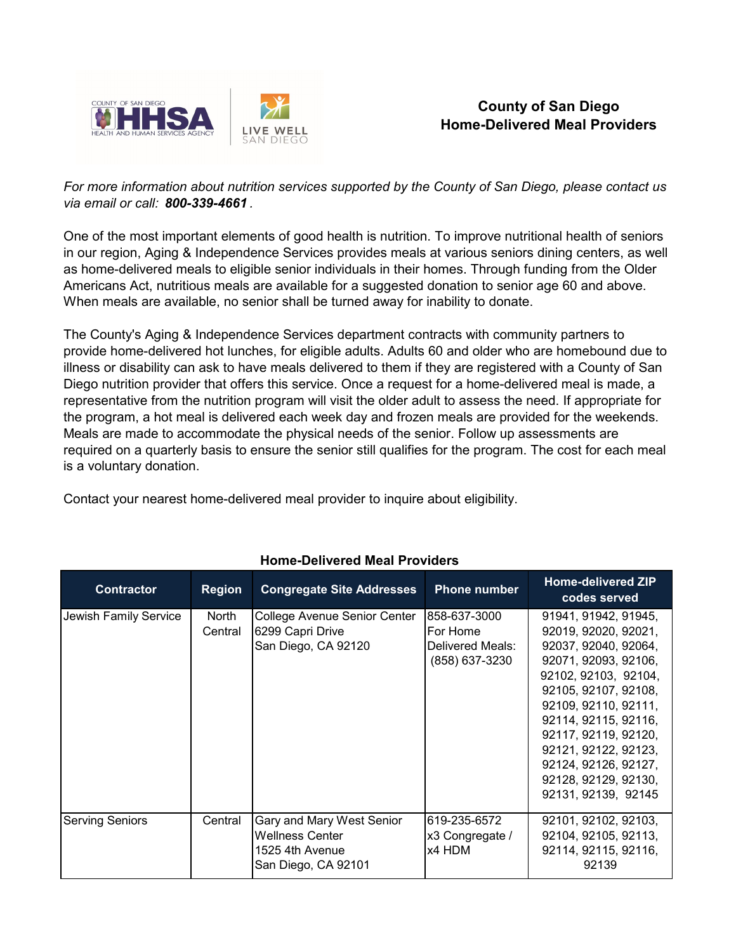

## **County of San Diego Home-Delivered Meal Providers**

*For more information about nutrition services supported by the County of San Diego, please contact us via email or call: 800-339-4661 .*

One of the most important elements of good health is nutrition. To improve nutritional health of seniors in our region, Aging & Independence Services provides meals at various seniors dining centers, as well as home-delivered meals to eligible senior individuals in their homes. Through funding from the Older Americans Act, nutritious meals are available for a suggested donation to senior age 60 and above. When meals are available, no senior shall be turned away for inability to donate.

The County's Aging & Independence Services department contracts with community partners to provide home-delivered hot lunches, for eligible adults. Adults 60 and older who are homebound due to illness or disability can ask to have meals delivered to them if they are registered with a County of San Diego nutrition provider that offers this service. Once a request for a home-delivered meal is made, a representative from the nutrition program will visit the older adult to assess the need. If appropriate for the program, a hot meal is delivered each week day and frozen meals are provided for the weekends. Meals are made to accommodate the physical needs of the senior. Follow up assessments are required on a quarterly basis to ensure the senior still qualifies for the program. The cost for each meal is a voluntary donation.

Contact your nearest home-delivered meal provider to inquire about eligibility.

| <b>Contractor</b>      | <b>Region</b>    | <b>Congregate Site Addresses</b>                                                              | <b>Phone number</b>                                            | Home-delivered ZIP<br>codes served                                                                                                                                                                                                                                                                                  |
|------------------------|------------------|-----------------------------------------------------------------------------------------------|----------------------------------------------------------------|---------------------------------------------------------------------------------------------------------------------------------------------------------------------------------------------------------------------------------------------------------------------------------------------------------------------|
| Jewish Family Service  | North<br>Central | College Avenue Senior Center<br>6299 Capri Drive<br>San Diego, CA 92120                       | 858-637-3000<br>For Home<br>Delivered Meals:<br>(858) 637-3230 | 91941, 91942, 91945,<br>92019, 92020, 92021,<br>92037, 92040, 92064,<br>92071, 92093, 92106,<br>92102, 92103, 92104,<br>92105, 92107, 92108,<br>92109, 92110, 92111,<br>92114, 92115, 92116,<br>92117, 92119, 92120,<br>92121, 92122, 92123,<br>92124, 92126, 92127,<br>92128, 92129, 92130,<br>92131, 92139, 92145 |
| <b>Serving Seniors</b> | Central          | Gary and Mary West Senior<br><b>Wellness Center</b><br>1525 4th Avenue<br>San Diego, CA 92101 | 619-235-6572<br>x3 Congregate /<br>x4 HDM                      | 92101, 92102, 92103,<br>92104, 92105, 92113,<br>92114, 92115, 92116,<br>92139                                                                                                                                                                                                                                       |

## **Home-Delivered Meal Providers**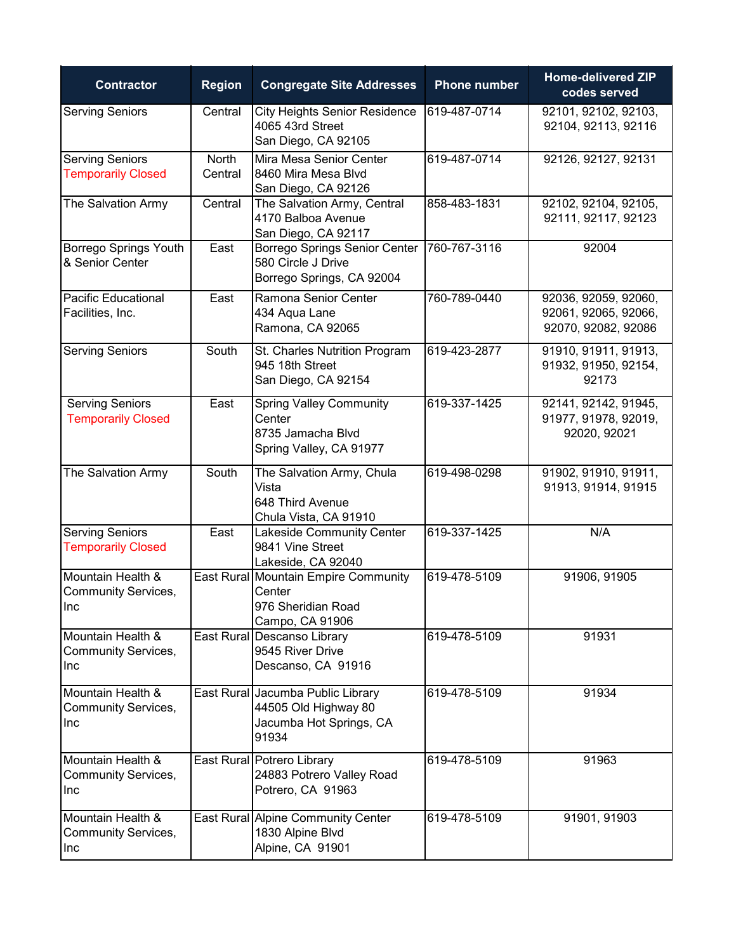| <b>Contractor</b>                                             | <b>Region</b>    | <b>Congregate Site Addresses</b>                                                              | <b>Phone number</b> | <b>Home-delivered ZIP</b><br>codes served                           |
|---------------------------------------------------------------|------------------|-----------------------------------------------------------------------------------------------|---------------------|---------------------------------------------------------------------|
| <b>Serving Seniors</b>                                        | Central          | <b>City Heights Senior Residence</b><br>4065 43rd Street<br>San Diego, CA 92105               | 619-487-0714        | 92101, 92102, 92103,<br>92104, 92113, 92116                         |
| <b>Serving Seniors</b><br><b>Temporarily Closed</b>           | North<br>Central | Mira Mesa Senior Center<br>8460 Mira Mesa Blvd<br>San Diego, CA 92126                         | 619-487-0714        | 92126, 92127, 92131                                                 |
| The Salvation Army                                            | Central          | The Salvation Army, Central<br>4170 Balboa Avenue<br>San Diego, CA 92117                      | 858-483-1831        | 92102, 92104, 92105,<br>92111, 92117, 92123                         |
| <b>Borrego Springs Youth</b><br>& Senior Center               | East             | Borrego Springs Senior Center<br>580 Circle J Drive<br>Borrego Springs, CA 92004              | 760-767-3116        | 92004                                                               |
| <b>Pacific Educational</b><br>Facilities, Inc.                | East             | Ramona Senior Center<br>434 Aqua Lane<br>Ramona, CA 92065                                     | 760-789-0440        | 92036, 92059, 92060,<br>92061, 92065, 92066,<br>92070, 92082, 92086 |
| <b>Serving Seniors</b>                                        | South            | St. Charles Nutrition Program<br>945 18th Street<br>San Diego, CA 92154                       | 619-423-2877        | 91910, 91911, 91913,<br>91932, 91950, 92154,<br>92173               |
| <b>Serving Seniors</b><br><b>Temporarily Closed</b>           | East             | <b>Spring Valley Community</b><br>Center<br>8735 Jamacha Blvd<br>Spring Valley, CA 91977      | 619-337-1425        | 92141, 92142, 91945,<br>91977, 91978, 92019,<br>92020, 92021        |
| The Salvation Army                                            | South            | The Salvation Army, Chula<br>Vista<br>648 Third Avenue<br>Chula Vista, CA 91910               | 619-498-0298        | 91902, 91910, 91911,<br>91913, 91914, 91915                         |
| <b>Serving Seniors</b><br><b>Temporarily Closed</b>           | East             | Lakeside Community Center<br>9841 Vine Street<br>Lakeside, CA 92040                           | 619-337-1425        | N/A                                                                 |
| Mountain Health &<br><b>Community Services,</b><br><b>INC</b> |                  | East Rural Mountain Empire Community<br>Center<br>976 Sheridian Road<br>Campo, CA 91906       | 619-478-5109        | 91906, 91905                                                        |
| Mountain Health &<br><b>Community Services,</b><br>Inc        |                  | East Rural Descanso Library<br>9545 River Drive<br>Descanso, CA 91916                         | 619-478-5109        | 91931                                                               |
| Mountain Health &<br><b>Community Services,</b><br>Inc        |                  | East Rural Jacumba Public Library<br>44505 Old Highway 80<br>Jacumba Hot Springs, CA<br>91934 | 619-478-5109        | 91934                                                               |
| Mountain Health &<br><b>Community Services,</b><br>Inc        |                  | East Rural Potrero Library<br>24883 Potrero Valley Road<br>Potrero, CA 91963                  | 619-478-5109        | 91963                                                               |
| Mountain Health &<br><b>Community Services,</b><br>Inc        |                  | East Rural Alpine Community Center<br>1830 Alpine Blvd<br>Alpine, CA 91901                    | 619-478-5109        | 91901, 91903                                                        |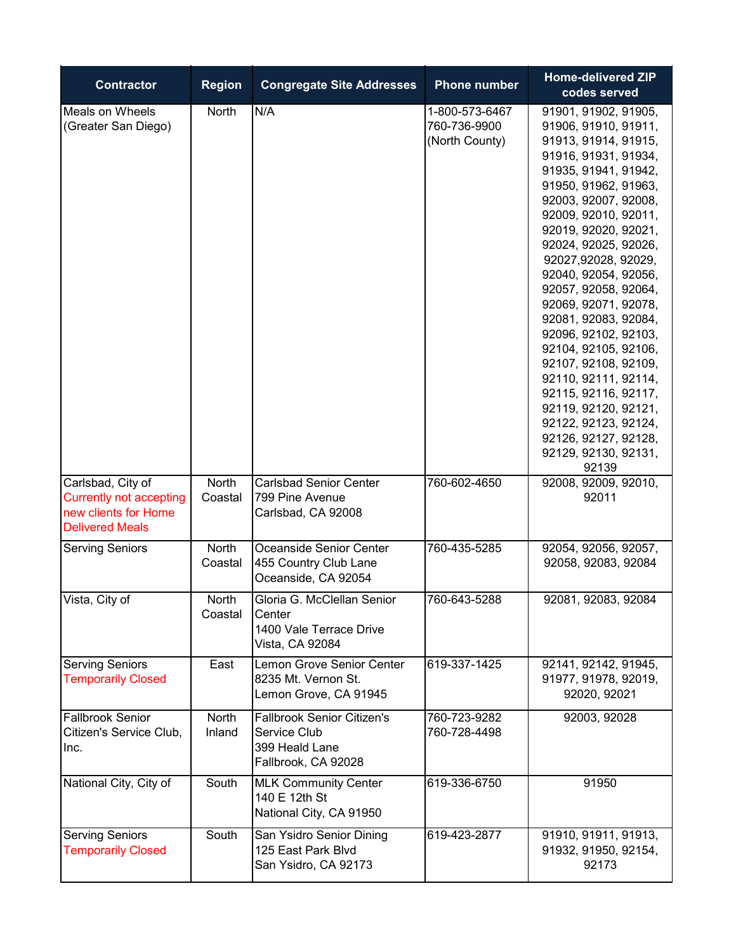| <b>Contractor</b>                                                                                     | <b>Region</b>    | <b>Congregate Site Addresses</b>                                                           | <b>Phone number</b>                              | <b>Home-delivered ZIP</b><br>codes served                                                                                                                                                                                                                                                                                                                                                                                                                                                                                                                                                            |
|-------------------------------------------------------------------------------------------------------|------------------|--------------------------------------------------------------------------------------------|--------------------------------------------------|------------------------------------------------------------------------------------------------------------------------------------------------------------------------------------------------------------------------------------------------------------------------------------------------------------------------------------------------------------------------------------------------------------------------------------------------------------------------------------------------------------------------------------------------------------------------------------------------------|
| Meals on Wheels<br>(Greater San Diego)                                                                | North            | N/A                                                                                        | 1-800-573-6467<br>760-736-9900<br>(North County) | 91901, 91902, 91905,<br>91906, 91910, 91911,<br>91913, 91914, 91915,<br>91916, 91931, 91934,<br>91935, 91941, 91942,<br>91950, 91962, 91963,<br>92003, 92007, 92008,<br>92009, 92010, 92011,<br>92019, 92020, 92021,<br>92024, 92025, 92026,<br>92027,92028, 92029,<br>92040, 92054, 92056,<br>92057, 92058, 92064,<br>92069, 92071, 92078,<br>92081, 92083, 92084,<br>92096, 92102, 92103,<br>92104, 92105, 92106,<br>92107, 92108, 92109,<br>92110, 92111, 92114,<br>92115, 92116, 92117,<br>92119, 92120, 92121,<br>92122, 92123, 92124,<br>92126, 92127, 92128,<br>92129, 92130, 92131,<br>92139 |
| Carlsbad, City of<br><b>Currently not accepting</b><br>new clients for Home<br><b>Delivered Meals</b> | North<br>Coastal | <b>Carlsbad Senior Center</b><br>799 Pine Avenue<br>Carlsbad, CA 92008                     | 760-602-4650                                     | 92008, 92009, 92010,<br>92011                                                                                                                                                                                                                                                                                                                                                                                                                                                                                                                                                                        |
| <b>Serving Seniors</b>                                                                                | North<br>Coastal | Oceanside Senior Center<br>455 Country Club Lane<br>Oceanside, CA 92054                    | 760-435-5285                                     | 92054, 92056, 92057,<br>92058, 92083, 92084                                                                                                                                                                                                                                                                                                                                                                                                                                                                                                                                                          |
| Vista, City of                                                                                        | North<br>Coastal | Gloria G. McClellan Senior<br>Center<br>1400 Vale Terrace Drive<br>Vista, CA 92084         | 760-643-5288                                     | 92081, 92083, 92084                                                                                                                                                                                                                                                                                                                                                                                                                                                                                                                                                                                  |
| <b>Serving Seniors</b><br><b>Temporarily Closed</b>                                                   | East             | Lemon Grove Senior Center<br>8235 Mt. Vernon St.<br>Lemon Grove, CA 91945                  | 619-337-1425                                     | 92141, 92142, 91945,<br>91977, 91978, 92019,<br>92020, 92021                                                                                                                                                                                                                                                                                                                                                                                                                                                                                                                                         |
| <b>Fallbrook Senior</b><br>Citizen's Service Club,<br>Inc.                                            | North<br>Inland  | <b>Fallbrook Senior Citizen's</b><br>Service Club<br>399 Heald Lane<br>Fallbrook, CA 92028 | 760-723-9282<br>760-728-4498                     | 92003, 92028                                                                                                                                                                                                                                                                                                                                                                                                                                                                                                                                                                                         |
| National City, City of                                                                                | South            | <b>MLK Community Center</b><br>140 E 12th St<br>National City, CA 91950                    | 619-336-6750                                     | 91950                                                                                                                                                                                                                                                                                                                                                                                                                                                                                                                                                                                                |
| <b>Serving Seniors</b><br><b>Temporarily Closed</b>                                                   | South            | San Ysidro Senior Dining<br>125 East Park Blvd<br>San Ysidro, CA 92173                     | 619-423-2877                                     | 91910, 91911, 91913,<br>91932, 91950, 92154,<br>92173                                                                                                                                                                                                                                                                                                                                                                                                                                                                                                                                                |